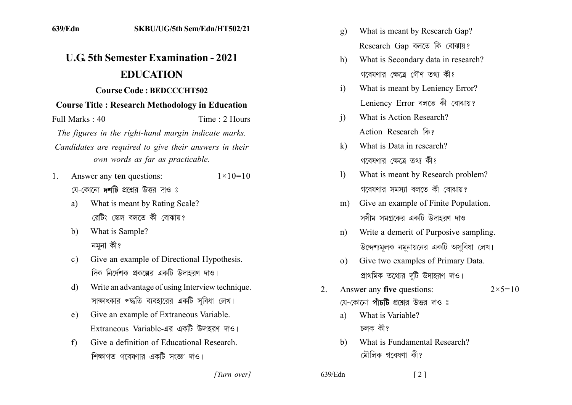## **11.6 5th Semester Examination - 2021 EDUCATION**

## **Course Code: BEDCCCHT502**

## **Course Title: Research Methodology in Education**

Full Marks: 40 Time: 2 Hours

The figures in the right-hand margin indicate marks.

- Candidates are required to give their answers in their own words as far as practicable.
- 1. Answer any ten questions:  $1 \times 10 = 10$ য়ে-কোনো **দর্শটি** প্রশ্নের উত্তর দাও ঃ
	- a) What is meant by Rating Scale? রেটিং স্কেল বলতে কী বোঝায়?
	- b) What is Sample? নমনা কী?
	- c) Give an example of Directional Hypothesis. দিক নির্দেশক প্রকল্পের একটি উদাহরণ দাও।
	- d) Write an advantage of using Interview technique. সাক্ষাৎকার পদ্ধতি ব্যবহারের একটি সবিধা লেখ।
	- e) Give an example of Extraneous Variable. Extraneous Variable-এর একটি উদাহরণ দাও।
	- f) Give a definition of Educational Research. শিক্ষাগত গবেষণার একটি সংজ্ঞা দাও।
- g) What is meant by Research Gap? Research Gap বলতে কি বোঝায়?
- h) What is Secondary data in research? গবেষণার ক্ষেত্রে গৌণ তথ্য কী?
- i) What is meant by Leniency Error? Leniency Error বলতে কী বোঝায়?
- i) What is Action Research? Action Research कि?
- k) What is Data in research? গবেষণার ক্ষেত্রে তথা কী?
- 1) What is meant by Research problem? গবেষণার সমস্যা বলতে কী বোঝায়?
- m) Give an example of Finite Population. সসীম সমগ্রকের একটি উদাহরণ দাও।
- n) Write a demerit of Purposive sampling. উদ্দেশ্যমূলক নমুনায়নের একটি অসবিধা লেখ।
- o) Give two examples of Primary Data. প্রাথমিক তথ্যের দটি উদাহরণ দাও।
- 2. Answer any **five** questions:  $2 \times 5 = 10$ য়ে-কোনো **পাঁচটি** প্রশ্নের উত্তর দাও ঃ
	- a) What is Variable? চলক কী?
	- b) What is Fundamental Research? মৌলিক গবেষণা কী?

*]]]]]] ]]]]]*

639/Edn [2]